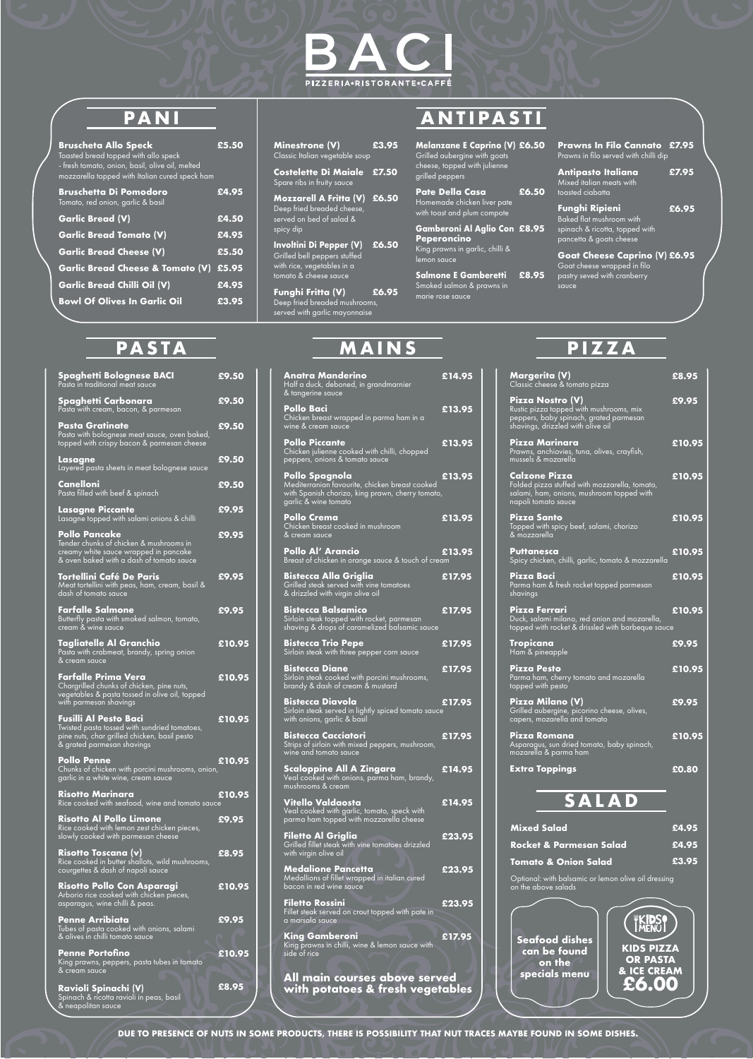**DUE TO PRESENCE OF NUTS IN SOME PRODUCTS, THERE IS POSSIBILITY THAT NUT TRACES MAYBE FOUND IN SOME DISHES.**

### **Melanzane E Caprino (V) £6.50** Grilled aubergine with goats cheese, topped with julienne grilled peppers

**Gamberoni Al Aglio Con £8.95 Peperoncino**  King prawns in garlic, chilli & lemon sauce

**Salmone E Gamberetti £8.95** Smoked salmon & prawns in marie rose sauce

**Prawns In Filo Cannato £7.95** Prawns in filo served with chilli dip

Goat cheese wrapped in filo pastry seved with cranberry sauce

## **PASTA MAINS PIZZA PASTA MAINS PIZZA**

### **SALAD Mixed Salad £4.95 Rocket & Parmesan Salad £4.95 Tomato & Onion Salad £3.95**Optional: with balsamic or lemon olive oil dressing on the above salads **WKIDSO**

**Risotto Al Pollo Limone** Rice cooked with lemon zest chicken pieces, slowly cooked with parmesan cheese

**Risotto Toscana (v)** Rice cooked in butter shallots, wild mushrooms, courgettes & dash of napoli sauce

**Risotto Pollo Con Asparagi** Arborio rice cooked with chicken pieces, asparagus, wine chilli & peas.

**Penne Arribiata** Tubes of pasta cooked with onions, salami & olives in chilli tomato sauce

**Penne Portofino** King prawns, peppers, pasta tubes in tomato & cream sauce



| <b>Bruscheta Allo Speck</b><br>Toasted bread topped with allo speck<br>- fresh tomato, onion, basil, olive oil, melted<br>mozzarella topped with Italian cured speck ham | £5.50 |
|--------------------------------------------------------------------------------------------------------------------------------------------------------------------------|-------|
| <b>Bruschetta Di Pomodoro</b><br>Tomato, red onion, garlic & basil                                                                                                       | £4.95 |
| <b>Garlic Bread (V)</b>                                                                                                                                                  | £4.50 |
| <b>Garlic Bread Tomato (V)</b>                                                                                                                                           | £4.95 |
| <b>Garlic Bread Cheese (V)</b>                                                                                                                                           | £5.50 |
| <b>Garlic Bread Cheese &amp; Tomato (V)</b>                                                                                                                              | £5.95 |
| <b>Garlic Bread Chilli Oil (V)</b>                                                                                                                                       | £4.95 |
| <b>Bowl Of Olives In Garlic Oil</b>                                                                                                                                      | £3.95 |

**Ravioli Spinachi (V)** Spinach & ricotta ravioli in peas, basil & neapolitan sauce

# **PANI ANTIPASTI**

| Minestrone (V)<br>Classic Italian vegetable soup                                                               | £3.95 |   |
|----------------------------------------------------------------------------------------------------------------|-------|---|
| <b>Costelette Di Maiale</b><br>Spare ribs in fruity sauce                                                      | £7.50 | ļ |
| Mozzarell A Fritta (V) £6.50<br>Deep fried breaded cheese,<br>served on bed of salad &<br>spicy dip            |       |   |
| Involtini Di Pepper (V)<br>Grilled bell peppers stuffed<br>with rice, vegetables in a<br>tomato & cheese sauce | £6.50 |   |
| EL: E.:11 (\/\                                                                                                 |       |   |

**Funghi Fritta (V)**  Deep fried breaded mushrooms, served with garlic mayonnaise **£6.95** **Pate Della Casa**  Homemade chicken liver pate with toast and plum compote **£6.50**

| <b>Antipasto Italiana</b><br>Mixed italian meats with<br>toasted ciabatta                                             | £7.95 |
|-----------------------------------------------------------------------------------------------------------------------|-------|
| <b>Funghi Ripieni</b><br><b>Baked flat mushroom with</b><br>spinach & ricotta, topped with<br>pancetta & goats cheese | £6.95 |
| Goat Cheese Caprino (V) £6.95                                                                                         |       |

| <b>Spaghetti Bolognese BACI</b><br>Pasta in traditional meat sauce                                                                                         | £9.50  |
|------------------------------------------------------------------------------------------------------------------------------------------------------------|--------|
| Spaghetti Carbonara<br>Pasta with cream, bacon, & parmesan                                                                                                 | £9.50  |
| <b>Pasta Gratinate</b><br>Pasta with bolognese meat sauce, oven baked,<br>topped with crispy bacon & parmesan cheese                                       | £9.50  |
| Lasagne<br>Layered pasta sheets in meat bolognese sauce                                                                                                    | £9.50  |
| Canelloni<br>Pasta filled with beef & spinach                                                                                                              | £9.50  |
| <b>Lasagne Piccante</b><br>Lasagne topped with salami onions & chilli                                                                                      | £9.95  |
| <b>Pollo Pancake</b><br>Tender chunks of chicken & mushrooms in<br>creamy white sauce wrapped in pancake<br>& oven baked with a dash of tomato sauce       | £9.95  |
| <b>Tortellini Café De Paris</b><br>Meat tortellini with peas, ham, cream, basil &<br>dash of tomato sauce                                                  | £9.95  |
| <b>Farfalle Salmone</b><br>Butterfly pasta with smoked salmon, tomato,<br>cream & wine sauce                                                               | £9.95  |
| <b>Tagliatelle Al Granchio</b><br>Pasta with crabmeat, brandy, spring onion<br>& cream sauce                                                               | £10.95 |
| Farfalle Prima Vera<br>Chargrilled chunks of chicken, pine nuts,<br>vegetables & pasta tossed in olive oil, topped<br>with parmesan shavings               | £10.95 |
| <b>Fusilli Al Pesto Baci</b><br>Twisted pasta tossed with sundried tomatoes,<br>pine nuts, char grilled chicken, basil pesto<br>& grated parmesan shavings | £10.95 |
| <b>Pollo Penne</b><br>Chunks of chicken with porcini mushrooms, onion,<br>garlic in a white wine, cream sauce                                              | £10.95 |

**Risotto Marinara** Rice cooked with seafood, wine and tomato sauce **£10.95**

| Anatra Manderino<br>Half a duck, deboned, in grandmarnier<br>& tangerine sauce                                                               | £14.95 | $\overline{C}$                           |
|----------------------------------------------------------------------------------------------------------------------------------------------|--------|------------------------------------------|
| Pollo Baci<br>Chicken breast wrapped in parma ham in a<br>wine & cream sauce                                                                 | £13.95 | F<br>R<br>$\frac{p}{s}$                  |
| <b>Pollo Piccante</b><br>Chicken julienne cooked with chilli, chopped<br>peppers, onions & tomato sauce                                      | £13.95 | F<br>P<br>$\overline{a}$                 |
| Pollo Spagnola<br>Mediterranian favourite, chicken breast cooked<br>with Spanish chorizo, king prawn, cherry tomato,<br>garlic & wine tomato | £13.95 | C<br>Ë<br>$\mathsf{s}$<br>$\overline{ }$ |
| Pollo Crema<br>Chicken breast cooked in mushroom<br>& cream sauce                                                                            | £13.95 | ľ<br>$\frac{7}{8}$                       |
| Pollo Al' Arancio<br>Breast of chicken in orange sauce & touch of cream                                                                      | £13.95 | F <sub>S</sub>                           |
| <b>Bistecca Alla Griglia</b><br>Grilled steak served with vine tomatoes<br>& drizzled with virgin olive oil                                  | £17.95 | FP <sub>S</sub>                          |
| <b>Bistecca Balsamico</b><br>Sirloin steak topped with rocket, parmesan<br>shaving & drops of caramelized balsamic sauce                     | £17.95 | ŀ<br>D<br>$\mathfrak{f}$                 |
| <b>Bistecca Trio Pepe</b><br>Sirloin steak with three pepper corn sauce                                                                      | £17.95 | ī                                        |
| <b>Bistecca Diane</b><br>Sirloin steak cooked with porcini mushrooms,<br>brandy & dash of cream & mustard                                    | £17.95 | F<br>P<br>$\mathfrak{f}$                 |
| <b>Bistecca Diavola</b><br>Sirloin steak served in lightly spiced tomato sauce<br>with onions, garlic & basil                                | £17.95 | ľ<br>$\overline{C}$<br>$\overline{c}$    |
| <b>Bistecca Cacciatori</b><br>Strips of sirloin with mixed peppers, mushroom,<br>wine and tomato sauce                                       | £17.95 | ŀ<br>A<br>n                              |
| Scaloppine All A Zingara<br>Veal cooked with onions, parma ham, brandy,<br>mushrooms & cream                                                 | £14.95 |                                          |
| <b>Vitello Valdaosta</b><br>Veal cooked with garlic, tomato, speck with<br>parma ham topped with mozzarella cheese                           | £14.95 |                                          |
| <b>Filetto Al Griglia</b><br>Grilled fillet steak with vine tomatoes drizzled<br>with virgin olive oil                                       | £23.95 |                                          |
| <b>Medalione Pancetta</b><br>Medallions of fillet wrapped in italian cured<br>bacon in red wine sauce                                        | £23.95 |                                          |
| <b>Filetto Rossini</b><br>Fillet steak served on crout topped with pate in<br>a marsala sauce                                                | £23.95 |                                          |
| <b>King Gamberoni</b><br>King prawns in chilli, wine & lemon sauce with<br>side of rice                                                      | £17.95 |                                          |
| <u>All main courses above served</u><br>with potatoes & fresh vegetables                                                                     |        |                                          |
|                                                                                                                                              |        |                                          |

| Margerita (V)<br>Classic cheese & tomato pizza                                                                                             | £8.95  |
|--------------------------------------------------------------------------------------------------------------------------------------------|--------|
| Pizza Nostro (V)<br>Rustic pizza topped with mushrooms, mix<br>peppers, baby spinach, grated parmesan<br>shavings, drizzled with olive oil | £9.95  |
| Pizza Marinara<br>Prawns, anchiovies, tuna, olives, crayfish,<br>mussels & mozarella                                                       | £10.95 |
| Calzone Pizza<br>Folded pizza stuffed with mozzarella, tomato,<br>salami, ham, onions, mushroom topped with<br>napoli tomato sauce         | £10.95 |
| Pizza Santo<br>Topped with spicy beef, salami, chorizo<br>& mozzarella                                                                     | £10.95 |
| Puttanesca<br>Spicy chicken, chilli, garlic, tomato & mozzarella                                                                           | £10.95 |
| Pizza Baci<br>Parma ham & fresh rocket topped parmesan<br>shavings                                                                         | £10.95 |
| Pizza Ferrari<br>Duck, salami milano, red onion and mozarella,<br>topped with rocket & drissled with barbeque sauce                        | £10.95 |
| <b>Tropicana</b><br>Ham & pineapple                                                                                                        | £9.95  |
| Pizza Pesto<br>Parma ham, cherry tomato and mozarella<br>topped with pesto                                                                 | £10.95 |
| Pizza Milano (V)<br>Grilled aubergine, picorino cheese, olives,<br>capers, mozarella and tomato                                            | £9.95  |
| Pizza Romana<br>Asparagus, sun dried tomato, baby spinach,<br>mozarella & parma ham                                                        | £10.95 |
| <b>Extra Toppings</b>                                                                                                                      | £0.80  |

**Seafood dishes can be found on the specials menu KIDS PIZZA OR PASTA & ICE CREAM £6.00**

**£9.95**

**£8.95**

**£10.95**

**£9.95**

**£10.95**

**£8.95**